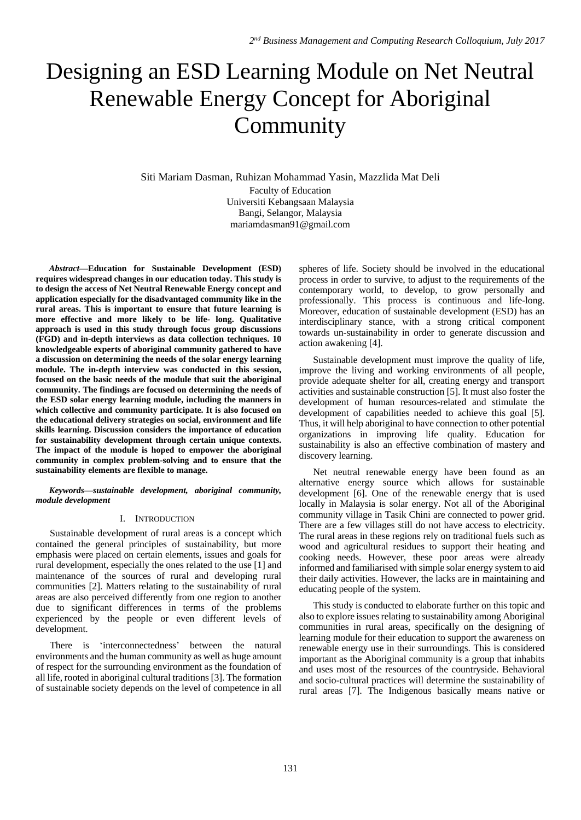# Designing an ESD Learning Module on Net Neutral Renewable Energy Concept for Aboriginal Community

Siti Mariam Dasman, Ruhizan Mohammad Yasin, Mazzlida Mat Deli

Faculty of Education Universiti Kebangsaan Malaysia Bangi, Selangor, Malaysia mariamdasman91@gmail.com

*Abstract***—Education for Sustainable Development (ESD) requires widespread changes in our education today. This study is to design the access of Net Neutral Renewable Energy concept and application especially for the disadvantaged community like in the rural areas. This is important to ensure that future learning is more effective and more likely to be life- long. Qualitative approach is used in this study through focus group discussions (FGD) and in-depth interviews as data collection techniques. 10 knowledgeable experts of aboriginal community gathered to have a discussion on determining the needs of the solar energy learning module. The in-depth interview was conducted in this session, focused on the basic needs of the module that suit the aboriginal community. The findings are focused on determining the needs of the ESD solar energy learning module, including the manners in which collective and community participate. It is also focused on the educational delivery strategies on social, environment and life skills learning. Discussion considers the importance of education for sustainability development through certain unique contexts. The impact of the module is hoped to empower the aboriginal community in complex problem-solving and to ensure that the sustainability elements are flexible to manage.** 

*Keywords—sustainable development, aboriginal community, module development* 

#### I. INTRODUCTION

Sustainable development of rural areas is a concept which contained the general principles of sustainability, but more emphasis were placed on certain elements, issues and goals for rural development, especially the ones related to the use [1] and maintenance of the sources of rural and developing rural communities [2]. Matters relating to the sustainability of rural areas are also perceived differently from one region to another due to significant differences in terms of the problems experienced by the people or even different levels of development.

There is 'interconnectedness' between the natural environments and the human community as well as huge amount of respect for the surrounding environment as the foundation of all life, rooted in aboriginal cultural traditions [3]. The formation of sustainable society depends on the level of competence in all

spheres of life. Society should be involved in the educational process in order to survive, to adjust to the requirements of the contemporary world, to develop, to grow personally and professionally. This process is continuous and life-long. Moreover, education of sustainable development (ESD) has an interdisciplinary stance, with a strong critical component towards un-sustainability in order to generate discussion and action awakening [4].

Sustainable development must improve the quality of life, improve the living and working environments of all people, provide adequate shelter for all, creating energy and transport activities and sustainable construction [5]. It must also foster the development of human resources-related and stimulate the development of capabilities needed to achieve this goal [5]. Thus, it will help aboriginal to have connection to other potential organizations in improving life quality. Education for sustainability is also an effective combination of mastery and discovery learning.

Net neutral renewable energy have been found as an alternative energy source which allows for sustainable development [6]. One of the renewable energy that is used locally in Malaysia is solar energy. Not all of the Aboriginal community village in Tasik Chini are connected to power grid. There are a few villages still do not have access to electricity. The rural areas in these regions rely on traditional fuels such as wood and agricultural residues to support their heating and cooking needs. However, these poor areas were already informed and familiarised with simple solar energy system to aid their daily activities. However, the lacks are in maintaining and educating people of the system.

This study is conducted to elaborate further on this topic and also to explore issues relating to sustainability among Aboriginal communities in rural areas, specifically on the designing of learning module for their education to support the awareness on renewable energy use in their surroundings. This is considered important as the Aboriginal community is a group that inhabits and uses most of the resources of the countryside. Behavioral and socio-cultural practices will determine the sustainability of rural areas [7]. The Indigenous basically means native or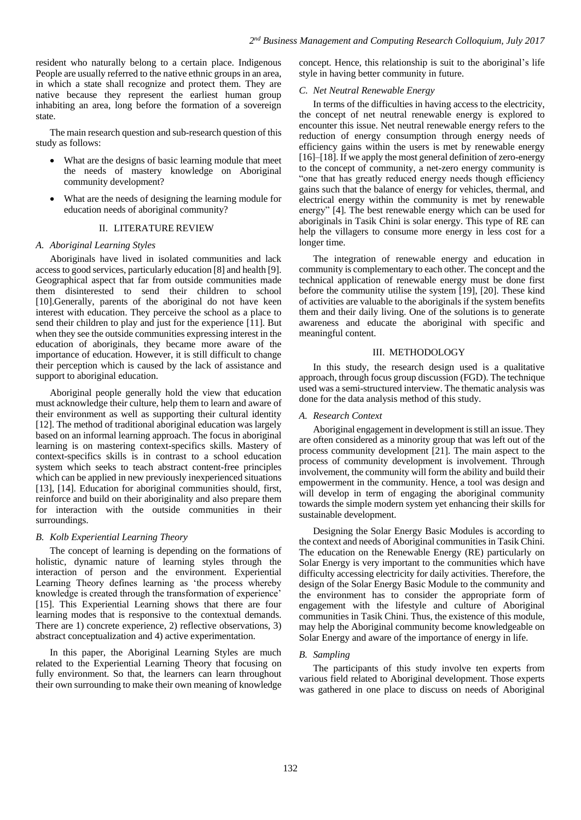resident who naturally belong to a certain place. Indigenous People are usually referred to the native ethnic groups in an area, in which a state shall recognize and protect them. They are native because they represent the earliest human group inhabiting an area, long before the formation of a sovereign state.

The main research question and sub-research question of this study as follows:

- What are the designs of basic learning module that meet the needs of mastery knowledge on Aboriginal community development?
- What are the needs of designing the learning module for education needs of aboriginal community?

## II. LITERATURE REVIEW

## *A. Aboriginal Learning Styles*

Aboriginals have lived in isolated communities and lack access to good services, particularly education [8] and health [9]. Geographical aspect that far from outside communities made them disinterested to send their children to school [10].Generally, parents of the aboriginal do not have keen interest with education. They perceive the school as a place to send their children to play and just for the experience [11]. But when they see the outside communities expressing interest in the education of aboriginals, they became more aware of the importance of education. However, it is still difficult to change their perception which is caused by the lack of assistance and support to aboriginal education.

Aboriginal people generally hold the view that education must acknowledge their culture, help them to learn and aware of their environment as well as supporting their cultural identity [12]. The method of traditional aboriginal education was largely based on an informal learning approach. The focus in aboriginal learning is on mastering context-specifics skills. Mastery of context-specifics skills is in contrast to a school education system which seeks to teach abstract content-free principles which can be applied in new previously inexperienced situations [13], [14]. Education for aboriginal communities should, first, reinforce and build on their aboriginality and also prepare them for interaction with the outside communities in their surroundings.

# *B. Kolb Experiential Learning Theory*

The concept of learning is depending on the formations of holistic, dynamic nature of learning styles through the interaction of person and the environment. Experiential Learning Theory defines learning as 'the process whereby knowledge is created through the transformation of experience' [15]. This Experiential Learning shows that there are four learning modes that is responsive to the contextual demands. There are 1) concrete experience, 2) reflective observations, 3) abstract conceptualization and 4) active experimentation.

In this paper, the Aboriginal Learning Styles are much related to the Experiential Learning Theory that focusing on fully environment. So that, the learners can learn throughout their own surrounding to make their own meaning of knowledge concept. Hence, this relationship is suit to the aboriginal's life style in having better community in future.

# *C. Net Neutral Renewable Energy*

In terms of the difficulties in having access to the electricity, the concept of net neutral renewable energy is explored to encounter this issue. Net neutral renewable energy refers to the reduction of energy consumption through energy needs of efficiency gains within the users is met by renewable energy [16]–[18]. If we apply the most general definition of zero-energy to the concept of community, a net-zero energy community is "one that has greatly reduced energy needs though efficiency gains such that the balance of energy for vehicles, thermal, and electrical energy within the community is met by renewable energy" [4]. The best renewable energy which can be used for aboriginals in Tasik Chini is solar energy. This type of RE can help the villagers to consume more energy in less cost for a longer time.

The integration of renewable energy and education in community is complementary to each other. The concept and the technical application of renewable energy must be done first before the community utilise the system [19], [20]. These kind of activities are valuable to the aboriginals if the system benefits them and their daily living. One of the solutions is to generate awareness and educate the aboriginal with specific and meaningful content.

#### III. METHODOLOGY

In this study, the research design used is a qualitative approach, through focus group discussion (FGD). The technique used was a semi-structured interview. The thematic analysis was done for the data analysis method of this study.

#### *A. Research Context*

Aboriginal engagement in development is still an issue. They are often considered as a minority group that was left out of the process community development [21]. The main aspect to the process of community development is involvement. Through involvement, the community will form the ability and build their empowerment in the community. Hence, a tool was design and will develop in term of engaging the aboriginal community towards the simple modern system yet enhancing their skills for sustainable development.

Designing the Solar Energy Basic Modules is according to the context and needs of Aboriginal communities in Tasik Chini. The education on the Renewable Energy (RE) particularly on Solar Energy is very important to the communities which have difficulty accessing electricity for daily activities. Therefore, the design of the Solar Energy Basic Module to the community and the environment has to consider the appropriate form of engagement with the lifestyle and culture of Aboriginal communities in Tasik Chini. Thus, the existence of this module, may help the Aboriginal community become knowledgeable on Solar Energy and aware of the importance of energy in life.

# *B. Sampling*

The participants of this study involve ten experts from various field related to Aboriginal development. Those experts was gathered in one place to discuss on needs of Aboriginal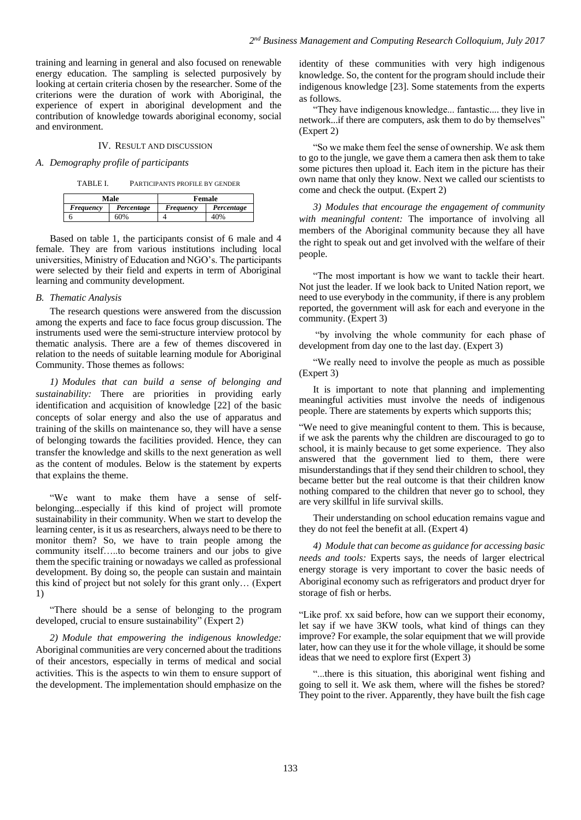training and learning in general and also focused on renewable energy education. The sampling is selected purposively by looking at certain criteria chosen by the researcher. Some of the criterions were the duration of work with Aboriginal, the experience of expert in aboriginal development and the contribution of knowledge towards aboriginal economy, social and environment.

#### IV. RESULT AND DISCUSSION

#### *A. Demography profile of participants*

TABLE I. PARTICIPANTS PROFILE BY GENDER

| Male      |            | Female    |            |
|-----------|------------|-----------|------------|
| Freauency | Percentage | Freauency | Percentage |
|           | 60%        |           | 40%        |

Based on table 1, the participants consist of 6 male and 4 female. They are from various institutions including local universities, Ministry of Education and NGO's. The participants were selected by their field and experts in term of Aboriginal learning and community development.

#### *B. Thematic Analysis*

The research questions were answered from the discussion among the experts and face to face focus group discussion. The instruments used were the semi-structure interview protocol by thematic analysis. There are a few of themes discovered in relation to the needs of suitable learning module for Aboriginal Community. Those themes as follows:

*1) Modules that can build a sense of belonging and sustainability:* There are priorities in providing early identification and acquisition of knowledge [22] of the basic concepts of solar energy and also the use of apparatus and training of the skills on maintenance so, they will have a sense of belonging towards the facilities provided. Hence, they can transfer the knowledge and skills to the next generation as well as the content of modules. Below is the statement by experts that explains the theme.

"We want to make them have a sense of selfbelonging...especially if this kind of project will promote sustainability in their community. When we start to develop the learning center, is it us as researchers, always need to be there to monitor them? So, we have to train people among the community itself…..to become trainers and our jobs to give them the specific training or nowadays we called as professional development. By doing so, the people can sustain and maintain this kind of project but not solely for this grant only… (Expert 1)

"There should be a sense of belonging to the program developed, crucial to ensure sustainability" (Expert 2)

*2) Module that empowering the indigenous knowledge:*  Aboriginal communities are very concerned about the traditions of their ancestors, especially in terms of medical and social activities. This is the aspects to win them to ensure support of the development. The implementation should emphasize on the

identity of these communities with very high indigenous knowledge. So, the content for the program should include their indigenous knowledge [23]. Some statements from the experts as follows.

"They have indigenous knowledge... fantastic.... they live in network...if there are computers, ask them to do by themselves" (Expert 2)

"So we make them feel the sense of ownership. We ask them to go to the jungle, we gave them a camera then ask them to take some pictures then upload it. Each item in the picture has their own name that only they know. Next we called our scientists to come and check the output. (Expert 2)

*3) Modules that encourage the engagement of community with meaningful content:* The importance of involving all members of the Aboriginal community because they all have the right to speak out and get involved with the welfare of their people.

"The most important is how we want to tackle their heart. Not just the leader. If we look back to United Nation report, we need to use everybody in the community, if there is any problem reported, the government will ask for each and everyone in the community. (Expert 3)

"by involving the whole community for each phase of development from day one to the last day. (Expert 3)

"We really need to involve the people as much as possible (Expert 3)

It is important to note that planning and implementing meaningful activities must involve the needs of indigenous people. There are statements by experts which supports this;

"We need to give meaningful content to them. This is because, if we ask the parents why the children are discouraged to go to school, it is mainly because to get some experience. They also answered that the government lied to them, there were misunderstandings that if they send their children to school, they became better but the real outcome is that their children know nothing compared to the children that never go to school, they are very skillful in life survival skills.

Their understanding on school education remains vague and they do not feel the benefit at all. (Expert 4)

*4) Module that can become as guidance for accessing basic needs and tools:* Experts says, the needs of larger electrical energy storage is very important to cover the basic needs of Aboriginal economy such as refrigerators and product dryer for storage of fish or herbs.

"Like prof. xx said before, how can we support their economy, let say if we have 3KW tools, what kind of things can they improve? For example, the solar equipment that we will provide later, how can they use it for the whole village, it should be some ideas that we need to explore first (Expert 3)

"...there is this situation, this aboriginal went fishing and going to sell it. We ask them, where will the fishes be stored? They point to the river. Apparently, they have built the fish cage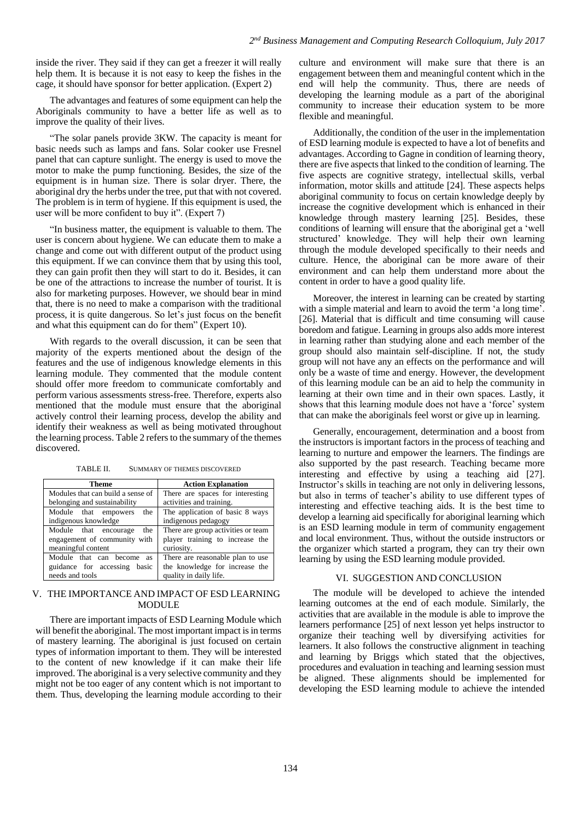inside the river. They said if they can get a freezer it will really help them. It is because it is not easy to keep the fishes in the cage, it should have sponsor for better application. (Expert 2)

The advantages and features of some equipment can help the Aboriginals community to have a better life as well as to improve the quality of their lives.

"The solar panels provide 3KW. The capacity is meant for basic needs such as lamps and fans. Solar cooker use Fresnel panel that can capture sunlight. The energy is used to move the motor to make the pump functioning. Besides, the size of the equipment is in human size. There is solar dryer. There, the aboriginal dry the herbs under the tree, put that with not covered. The problem is in term of hygiene. If this equipment is used, the user will be more confident to buy it". (Expert 7)

"In business matter, the equipment is valuable to them. The user is concern about hygiene. We can educate them to make a change and come out with different output of the product using this equipment. If we can convince them that by using this tool, they can gain profit then they will start to do it. Besides, it can be one of the attractions to increase the number of tourist. It is also for marketing purposes. However, we should bear in mind that, there is no need to make a comparison with the traditional process, it is quite dangerous. So let's just focus on the benefit and what this equipment can do for them" (Expert 10).

With regards to the overall discussion, it can be seen that majority of the experts mentioned about the design of the features and the use of indigenous knowledge elements in this learning module. They commented that the module content should offer more freedom to communicate comfortably and perform various assessments stress-free. Therefore, experts also mentioned that the module must ensure that the aboriginal actively control their learning process, develop the ability and identify their weakness as well as being motivated throughout the learning process. Table 2 refers to the summary of the themes discovered.

TABLE II. SUMMARY OF THEMES DISCOVERED

| Theme                             | <b>Action Explanation</b>          |  |
|-----------------------------------|------------------------------------|--|
| Modules that can build a sense of | There are spaces for interesting   |  |
| belonging and sustainability      | activities and training.           |  |
| Module that empowers<br>the       | The application of basic 8 ways    |  |
| indigenous knowledge              | indigenous pedagogy                |  |
| Module that encourage<br>the      | There are group activities or team |  |
| engagement of community with      | player training to increase the    |  |
| meaningful content                | curiosity.                         |  |
| Module that can become as         | There are reasonable plan to use   |  |
| guidance for accessing basic      | the knowledge for increase the     |  |
| needs and tools                   | quality in daily life.             |  |

## V. THE IMPORTANCE AND IMPACT OF ESD LEARNING **MODULE**

There are important impacts of ESD Learning Module which will benefit the aboriginal. The most important impact is in terms of mastery learning. The aboriginal is just focused on certain types of information important to them. They will be interested to the content of new knowledge if it can make their life improved. The aboriginal is a very selective community and they might not be too eager of any content which is not important to them. Thus, developing the learning module according to their

culture and environment will make sure that there is an engagement between them and meaningful content which in the end will help the community. Thus, there are needs of developing the learning module as a part of the aboriginal community to increase their education system to be more flexible and meaningful.

Additionally, the condition of the user in the implementation of ESD learning module is expected to have a lot of benefits and advantages. According to Gagne in condition of learning theory, there are five aspects that linked to the condition of learning. The five aspects are cognitive strategy, intellectual skills, verbal information, motor skills and attitude [24]. These aspects helps aboriginal community to focus on certain knowledge deeply by increase the cognitive development which is enhanced in their knowledge through mastery learning [25]. Besides, these conditions of learning will ensure that the aboriginal get a 'well structured' knowledge. They will help their own learning through the module developed specifically to their needs and culture. Hence, the aboriginal can be more aware of their environment and can help them understand more about the content in order to have a good quality life.

Moreover, the interest in learning can be created by starting with a simple material and learn to avoid the term 'a long time'. [26]. Material that is difficult and time consuming will cause boredom and fatigue. Learning in groups also adds more interest in learning rather than studying alone and each member of the group should also maintain self-discipline. If not, the study group will not have any an effects on the performance and will only be a waste of time and energy. However, the development of this learning module can be an aid to help the community in learning at their own time and in their own spaces. Lastly, it shows that this learning module does not have a 'force' system that can make the aboriginals feel worst or give up in learning.

Generally, encouragement, determination and a boost from the instructors is important factors in the process of teaching and learning to nurture and empower the learners. The findings are also supported by the past research. Teaching became more interesting and effective by using a teaching aid [27]. Instructor's skills in teaching are not only in delivering lessons, but also in terms of teacher's ability to use different types of interesting and effective teaching aids. It is the best time to develop a learning aid specifically for aboriginal learning which is an ESD learning module in term of community engagement and local environment. Thus, without the outside instructors or the organizer which started a program, they can try their own learning by using the ESD learning module provided.

# VI. SUGGESTION AND CONCLUSION

The module will be developed to achieve the intended learning outcomes at the end of each module. Similarly, the activities that are available in the module is able to improve the learners performance [25] of next lesson yet helps instructor to organize their teaching well by diversifying activities for learners. It also follows the constructive alignment in teaching and learning by Briggs which stated that the objectives, procedures and evaluation in teaching and learning session must be aligned. These alignments should be implemented for developing the ESD learning module to achieve the intended